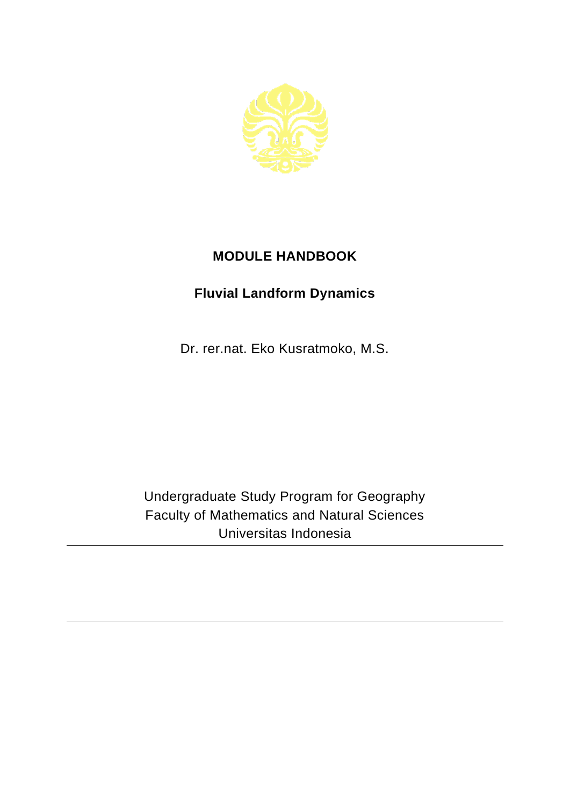

## **MODULE HANDBOOK**

## **Fluvial Landform Dynamics**

Dr. rer.nat. Eko Kusratmoko, M.S.

Undergraduate Study Program for Geography Faculty of Mathematics and Natural Sciences Universitas Indonesia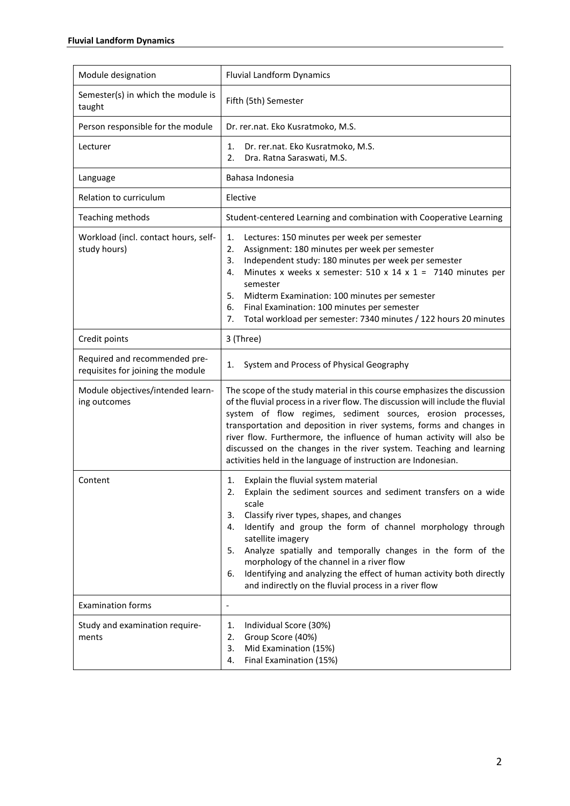| Module designation                                                 | <b>Fluvial Landform Dynamics</b>                                                                                                                                                                                                                                                                                                                                                                                                                                                                                              |
|--------------------------------------------------------------------|-------------------------------------------------------------------------------------------------------------------------------------------------------------------------------------------------------------------------------------------------------------------------------------------------------------------------------------------------------------------------------------------------------------------------------------------------------------------------------------------------------------------------------|
| Semester(s) in which the module is<br>taught                       | Fifth (5th) Semester                                                                                                                                                                                                                                                                                                                                                                                                                                                                                                          |
| Person responsible for the module                                  | Dr. rer.nat. Eko Kusratmoko, M.S.                                                                                                                                                                                                                                                                                                                                                                                                                                                                                             |
| Lecturer                                                           | Dr. rer.nat. Eko Kusratmoko, M.S.<br>1.<br>Dra. Ratna Saraswati, M.S.<br>2.                                                                                                                                                                                                                                                                                                                                                                                                                                                   |
| Language                                                           | Bahasa Indonesia                                                                                                                                                                                                                                                                                                                                                                                                                                                                                                              |
| Relation to curriculum                                             | Elective                                                                                                                                                                                                                                                                                                                                                                                                                                                                                                                      |
| Teaching methods                                                   | Student-centered Learning and combination with Cooperative Learning                                                                                                                                                                                                                                                                                                                                                                                                                                                           |
| Workload (incl. contact hours, self-<br>study hours)               | 1.<br>Lectures: 150 minutes per week per semester<br>2.<br>Assignment: 180 minutes per week per semester<br>Independent study: 180 minutes per week per semester<br>3.<br>Minutes x weeks x semester: 510 x 14 x 1 = 7140 minutes per<br>4.<br>semester<br>5.<br>Midterm Examination: 100 minutes per semester<br>Final Examination: 100 minutes per semester<br>6.<br>7.<br>Total workload per semester: 7340 minutes / 122 hours 20 minutes                                                                                 |
| Credit points                                                      | 3 (Three)                                                                                                                                                                                                                                                                                                                                                                                                                                                                                                                     |
| Required and recommended pre-<br>requisites for joining the module | System and Process of Physical Geography<br>1.                                                                                                                                                                                                                                                                                                                                                                                                                                                                                |
| Module objectives/intended learn-<br>ing outcomes                  | The scope of the study material in this course emphasizes the discussion<br>of the fluvial process in a river flow. The discussion will include the fluvial<br>system of flow regimes, sediment sources, erosion processes,<br>transportation and deposition in river systems, forms and changes in<br>river flow. Furthermore, the influence of human activity will also be<br>discussed on the changes in the river system. Teaching and learning<br>activities held in the language of instruction are Indonesian.         |
| Content                                                            | Explain the fluvial system material<br>1.<br>2.<br>Explain the sediment sources and sediment transfers on a wide<br>scale<br>Classify river types, shapes, and changes<br>3.<br>Identify and group the form of channel morphology through<br>4.<br>satellite imagery<br>Analyze spatially and temporally changes in the form of the<br>5.<br>morphology of the channel in a river flow<br>Identifying and analyzing the effect of human activity both directly<br>6.<br>and indirectly on the fluvial process in a river flow |
| <b>Examination forms</b>                                           | $\qquad \qquad \blacksquare$                                                                                                                                                                                                                                                                                                                                                                                                                                                                                                  |
| Study and examination require-<br>ments                            | Individual Score (30%)<br>1.<br>Group Score (40%)<br>2.<br>Mid Examination (15%)<br>3.<br>Final Examination (15%)<br>4.                                                                                                                                                                                                                                                                                                                                                                                                       |